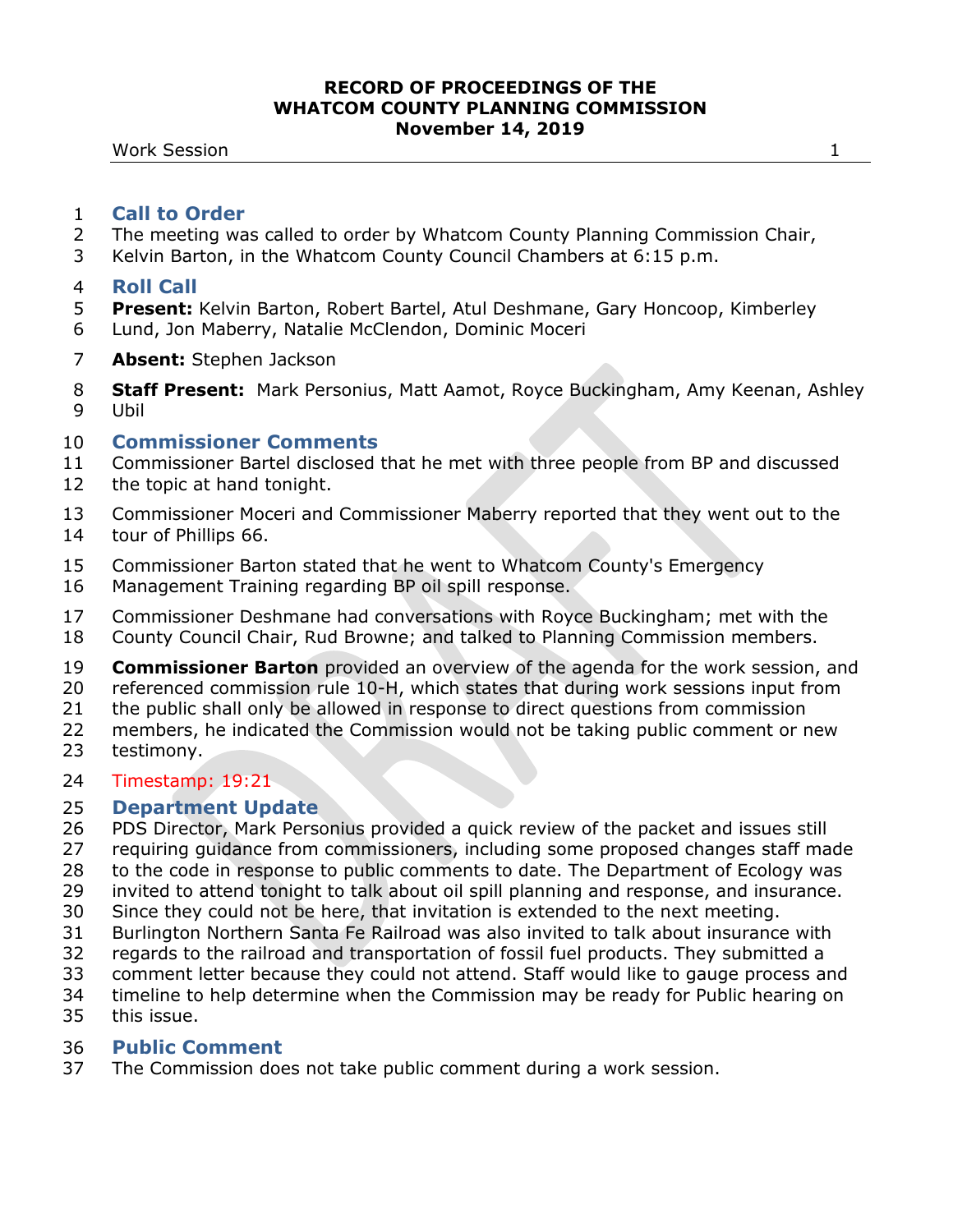- The meeting was called to order by Whatcom County Planning Commission Chair,
- Kelvin Barton, in the Whatcom County Council Chambers at 6:15 p.m.

### **Roll Call**

- **Present:** Kelvin Barton, Robert Bartel, Atul Deshmane, Gary Honcoop, Kimberley
- Lund, Jon Maberry, Natalie McClendon, Dominic Moceri
- **Absent:** Stephen Jackson
- **Staff Present:** Mark Personius, Matt Aamot, Royce Buckingham, Amy Keenan, Ashley Ubil

## **Commissioner Comments**

- Commissioner Bartel disclosed that he met with three people from BP and discussed
- the topic at hand tonight.
- Commissioner Moceri and Commissioner Maberry reported that they went out to the tour of Phillips 66.
- Commissioner Barton stated that he went to Whatcom County's Emergency
- Management Training regarding BP oil spill response.
- Commissioner Deshmane had conversations with Royce Buckingham; met with the
- County Council Chair, Rud Browne; and talked to Planning Commission members.
- **Commissioner Barton** provided an overview of the agenda for the work session, and
- referenced commission rule 10-H, which states that during work sessions input from
- the public shall only be allowed in response to direct questions from commission
- members, he indicated the Commission would not be taking public comment or new testimony.

# Timestamp: 19:21

# **Department Update**

- PDS Director, Mark Personius provided a quick review of the packet and issues still
- requiring guidance from commissioners, including some proposed changes staff made
- to the code in response to public comments to date. The Department of Ecology was
- invited to attend tonight to talk about oil spill planning and response, and insurance.
- Since they could not be here, that invitation is extended to the next meeting.
- Burlington Northern Santa Fe Railroad was also invited to talk about insurance with
- regards to the railroad and transportation of fossil fuel products. They submitted a
- comment letter because they could not attend. Staff would like to gauge process and
- timeline to help determine when the Commission may be ready for Public hearing on
- this issue.

# **Public Comment**

The Commission does not take public comment during a work session.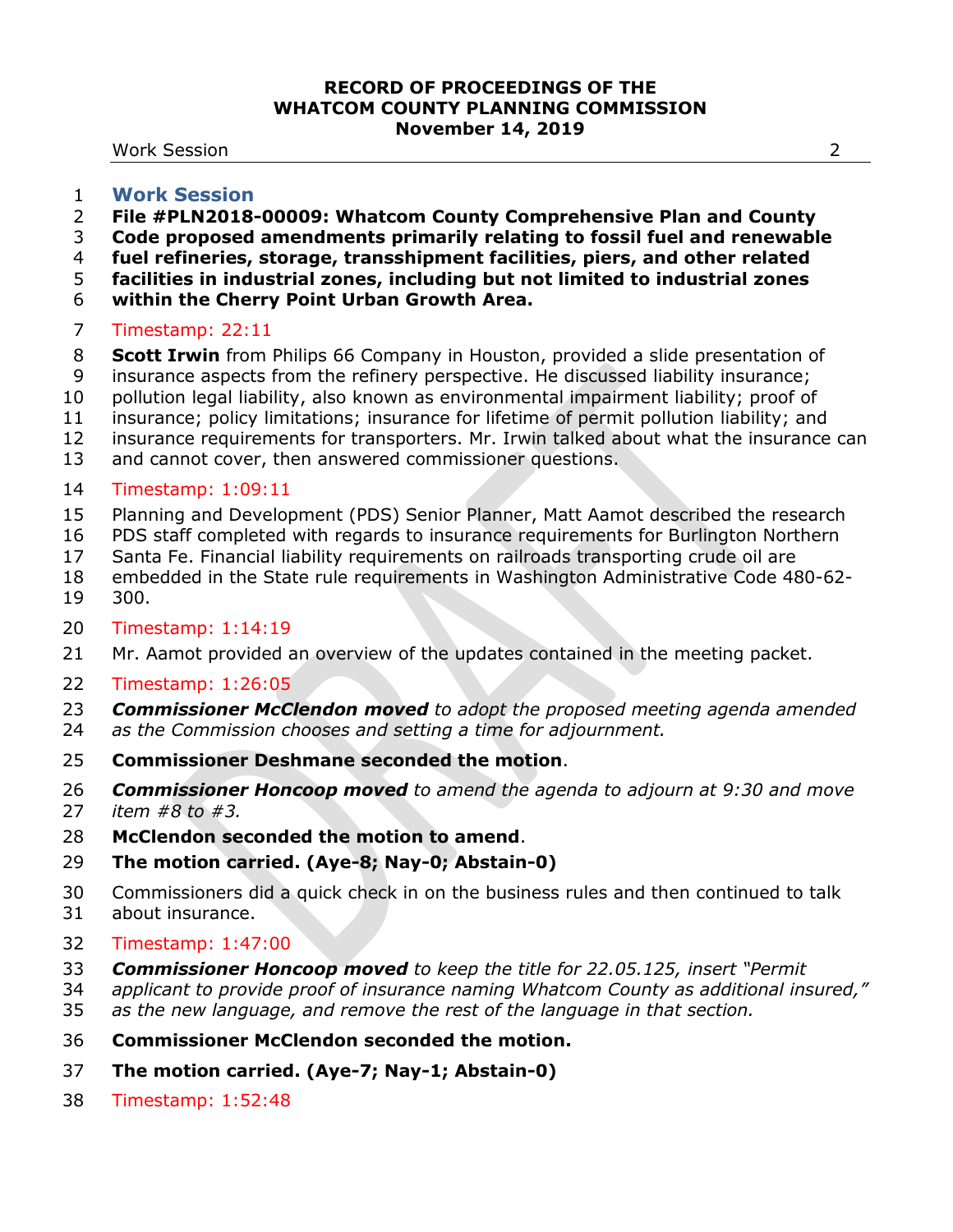Work Session 2

#### **Work Session**

- **File #PLN2018-00009: Whatcom County Comprehensive Plan and County**
- **Code proposed amendments primarily relating to fossil fuel and renewable**
- **fuel refineries, storage, transshipment facilities, piers, and other related**
- **facilities in industrial zones, including but not limited to industrial zones**
- **within the Cherry Point Urban Growth Area.**

## Timestamp: 22:11

- **Scott Irwin** from Philips 66 Company in Houston, provided a slide presentation of
- insurance aspects from the refinery perspective. He discussed liability insurance;
- pollution legal liability, also known as environmental impairment liability; proof of
- insurance; policy limitations; insurance for lifetime of permit pollution liability; and
- insurance requirements for transporters. Mr. Irwin talked about what the insurance can
- and cannot cover, then answered commissioner questions.

# Timestamp: 1:09:11

- Planning and Development (PDS) Senior Planner, Matt Aamot described the research
- PDS staff completed with regards to insurance requirements for Burlington Northern
- Santa Fe. Financial liability requirements on railroads transporting crude oil are
- embedded in the State rule requirements in Washington Administrative Code 480-62-
- 300.

## Timestamp: 1:14:19

Mr. Aamot provided an overview of the updates contained in the meeting packet.

## Timestamp: 1:26:05

- *Commissioner McClendon moved to adopt the proposed meeting agenda amended*
- *as the Commission chooses and setting a time for adjournment.*
- **Commissioner Deshmane seconded the motion**.
- *Commissioner Honcoop moved to amend the agenda to adjourn at 9:30 and move item #8 to #3.*
- **McClendon seconded the motion to amend**.
- **The motion carried. (Aye-8; Nay-0; Abstain-0)**
- Commissioners did a quick check in on the business rules and then continued to talk
- about insurance.
- Timestamp: 1:47:00
- *Commissioner Honcoop moved to keep the title for 22.05.125, insert "Permit*
- *applicant to provide proof of insurance naming Whatcom County as additional insured,"*
- *as the new language, and remove the rest of the language in that section.*
- **Commissioner McClendon seconded the motion.**
- **The motion carried. (Aye-7; Nay-1; Abstain-0)**
- Timestamp: 1:52:48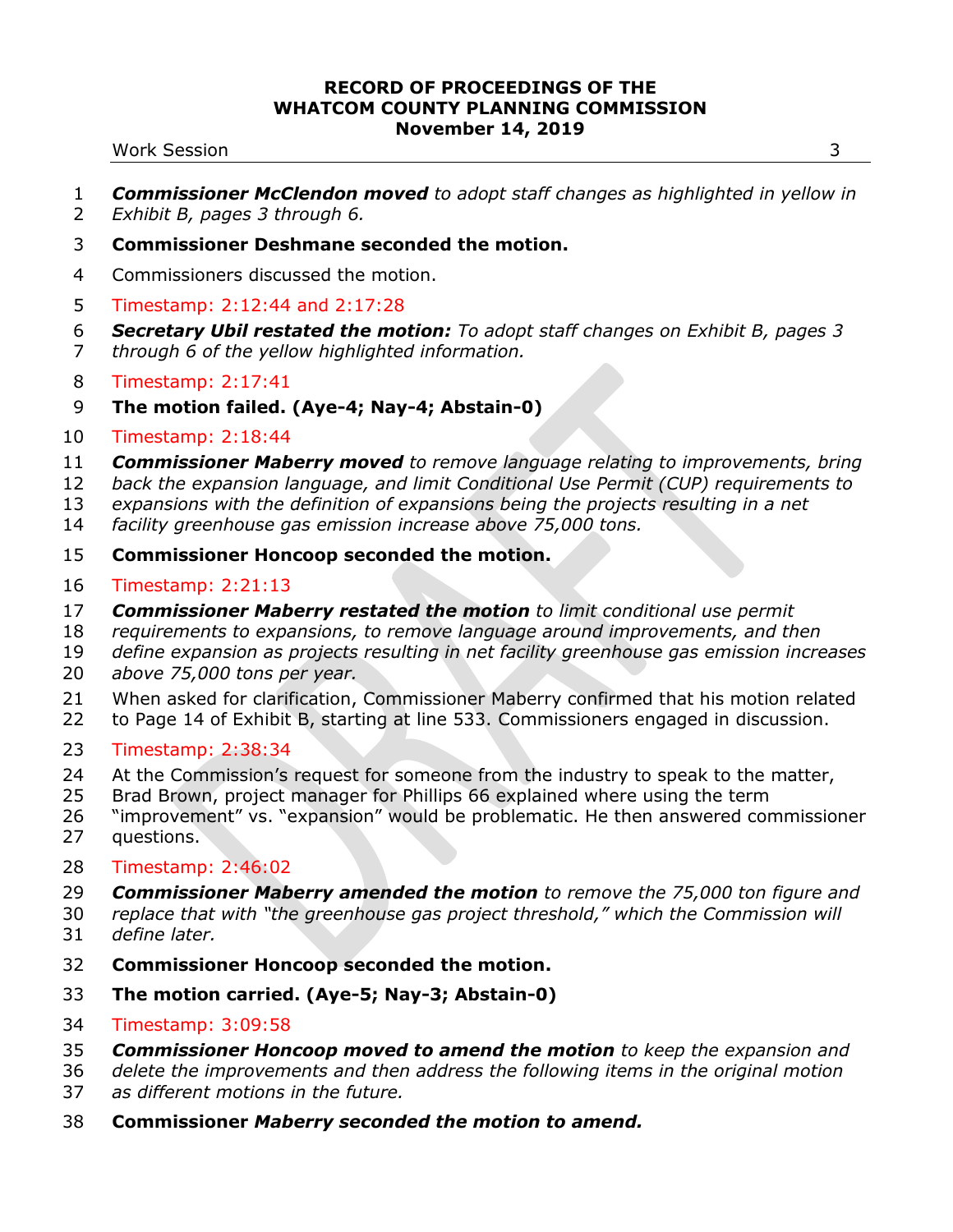#### Work Session 3

- *Commissioner McClendon moved to adopt staff changes as highlighted in yellow in Exhibit B, pages 3 through 6.*
- **Commissioner Deshmane seconded the motion.**
- Commissioners discussed the motion.
- Timestamp: 2:12:44 and 2:17:28
- *Secretary Ubil restated the motion: To adopt staff changes on Exhibit B, pages 3 through 6 of the yellow highlighted information.*
- Timestamp: 2:17:41
- **The motion failed. (Aye-4; Nay-4; Abstain-0)**
- Timestamp: 2:18:44
- *Commissioner Maberry moved to remove language relating to improvements, bring*
- *back the expansion language, and limit Conditional Use Permit (CUP) requirements to*
- *expansions with the definition of expansions being the projects resulting in a net*
- *facility greenhouse gas emission increase above 75,000 tons.*
- **Commissioner Honcoop seconded the motion.**
- Timestamp: 2:21:13
- *Commissioner Maberry restated the motion to limit conditional use permit*
- *requirements to expansions, to remove language around improvements, and then*
- *define expansion as projects resulting in net facility greenhouse gas emission increases*
- *above 75,000 tons per year.*
- When asked for clarification, Commissioner Maberry confirmed that his motion related
- to Page 14 of Exhibit B, starting at line 533. Commissioners engaged in discussion.
- Timestamp: 2:38:34
- At the Commission's request for someone from the industry to speak to the matter,
- Brad Brown, project manager for Phillips 66 explained where using the term
- "improvement" vs. "expansion" would be problematic. He then answered commissioner questions.
- Timestamp: 2:46:02
- *Commissioner Maberry amended the motion to remove the 75,000 ton figure and*
- *replace that with "the greenhouse gas project threshold," which the Commission will define later.*
- **Commissioner Honcoop seconded the motion.**
- **The motion carried. (Aye-5; Nay-3; Abstain-0)**
- Timestamp: 3:09:58
- *Commissioner Honcoop moved to amend the motion to keep the expansion and*
- *delete the improvements and then address the following items in the original motion*
- *as different motions in the future.*
- **Commissioner** *Maberry seconded the motion to amend.*